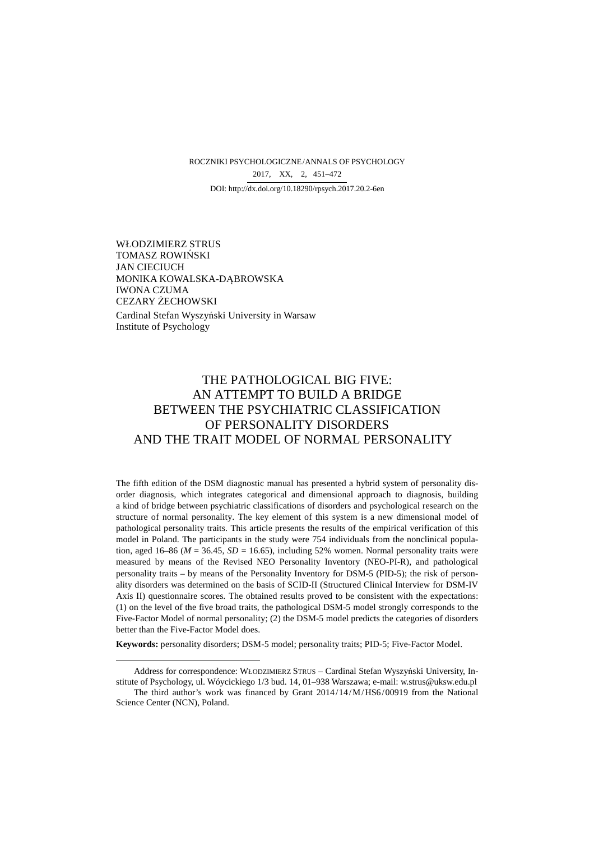ROCZNIKI PSYCHOLOGICZNE/ANNALS OF PSYCHOLOGY DOI: http://dx.doi.org/10.18290/rpsych.2017.20.2-6en 2017, XX, 2, 451–472

WŁODZIMIERZ STRUS TOMASZ ROWIŃSKI JAN CIECIUCH MONIKA KOWALSKA-DĄBROWSKA IWONA CZUMA CEZARY ŻECHOWSKI Cardinal Stefan Wyszyński University in Warsaw Institute of Psychology

 $\overline{a}$ 

# THE PATHOLOGICAL BIG FIVE: AN ATTEMPT TO BUILD A BRIDGE BETWEEN THE PSYCHIATRIC CLASSIFICATION OF PERSONALITY DISORDERS AND THE TRAIT MODEL OF NORMAL PERSONALITY

The fifth edition of the DSM diagnostic manual has presented a hybrid system of personality disorder diagnosis, which integrates categorical and dimensional approach to diagnosis, building a kind of bridge between psychiatric classifications of disorders and psychological research on the structure of normal personality. The key element of this system is a new dimensional model of pathological personality traits. This article presents the results of the empirical verification of this model in Poland. The participants in the study were 754 individuals from the nonclinical population, aged 16–86 ( $M = 36.45$ ,  $SD = 16.65$ ), including 52% women. Normal personality traits were measured by means of the Revised NEO Personality Inventory (NEO-PI-R), and pathological personality traits – by means of the Personality Inventory for DSM-5 (PID-5); the risk of personality disorders was determined on the basis of SCID-II (Structured Clinical Interview for DSM-IV Axis II) questionnaire scores. The obtained results proved to be consistent with the expectations: (1) on the level of the five broad traits, the pathological DSM-5 model strongly corresponds to the Five-Factor Model of normal personality; (2) the DSM-5 model predicts the categories of disorders better than the Five-Factor Model does.

**Keywords:** personality disorders; DSM-5 model; personality traits; PID-5; Five-Factor Model.

Address for correspondence: WŁODZIMIERZ STRUS – Cardinal Stefan Wyszyński University, Institute of Psychology, ul. Wóycickiego 1/3 bud. 14, 01–938 Warszawa; e-mail: w.strus@uksw.edu.pl

The third author's work was financed by Grant 2014/14/M/HS6/00919 from the National Science Center (NCN), Poland.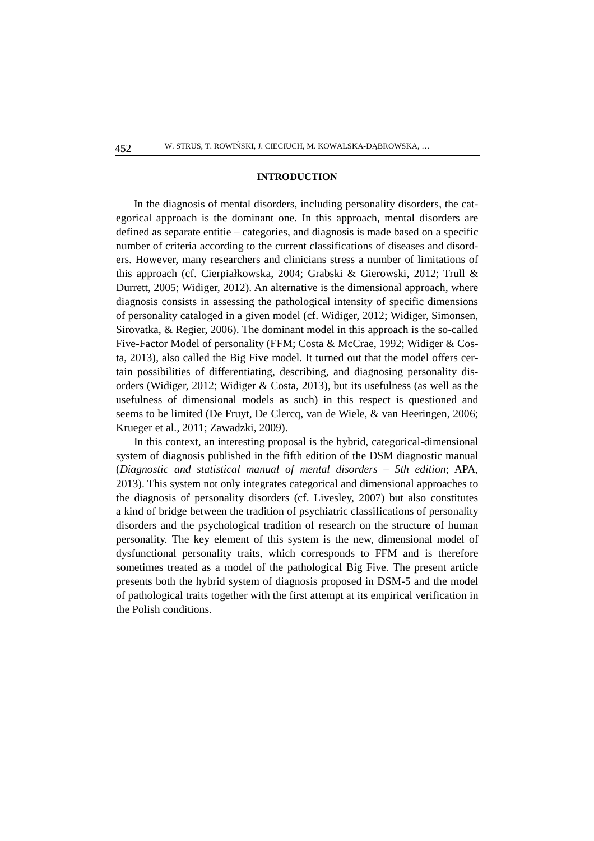#### **INTRODUCTION**

In the diagnosis of mental disorders, including personality disorders, the categorical approach is the dominant one. In this approach, mental disorders are defined as separate entitie – categories, and diagnosis is made based on a specific number of criteria according to the current classifications of diseases and disorders. However, many researchers and clinicians stress a number of limitations of this approach (cf. Cierpiałkowska, 2004; Grabski & Gierowski, 2012; Trull & Durrett, 2005; Widiger, 2012). An alternative is the dimensional approach, where diagnosis consists in assessing the pathological intensity of specific dimensions of personality cataloged in a given model (cf. Widiger, 2012; Widiger, Simonsen, Sirovatka, & Regier, 2006). The dominant model in this approach is the so-called Five-Factor Model of personality (FFM; Costa & McCrae, 1992; Widiger & Costa, 2013), also called the Big Five model. It turned out that the model offers certain possibilities of differentiating, describing, and diagnosing personality disorders (Widiger, 2012; Widiger & Costa, 2013), but its usefulness (as well as the usefulness of dimensional models as such) in this respect is questioned and seems to be limited (De Fruyt, De Clercq, van de Wiele, & van Heeringen, 2006; Krueger et al., 2011; Zawadzki, 2009).

In this context, an interesting proposal is the hybrid, categorical-dimensional system of diagnosis published in the fifth edition of the DSM diagnostic manual (*Diagnostic and statistical manual of mental disorders* – *5th edition*; APA, 2013). This system not only integrates categorical and dimensional approaches to the diagnosis of personality disorders (cf. Livesley, 2007) but also constitutes a kind of bridge between the tradition of psychiatric classifications of personality disorders and the psychological tradition of research on the structure of human personality. The key element of this system is the new, dimensional model of dysfunctional personality traits, which corresponds to FFM and is therefore sometimes treated as a model of the pathological Big Five. The present article presents both the hybrid system of diagnosis proposed in DSM-5 and the model of pathological traits together with the first attempt at its empirical verification in the Polish conditions.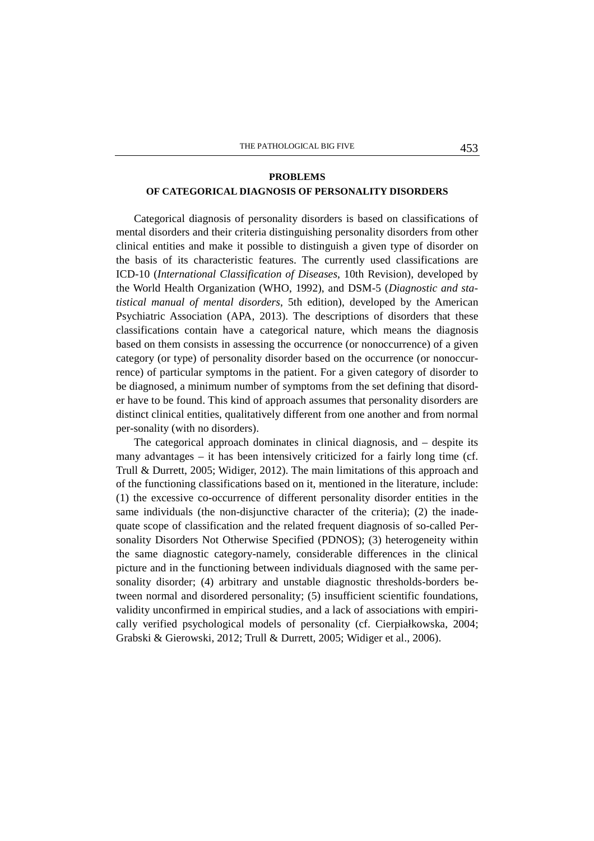## **PROBLEMS OF CATEGORICAL DIAGNOSIS OF PERSONALITY DISORDERS**

Categorical diagnosis of personality disorders is based on classifications of mental disorders and their criteria distinguishing personality disorders from other clinical entities and make it possible to distinguish a given type of disorder on the basis of its characteristic features. The currently used classifications are ICD-10 (*International Classification of Diseases*, 10th Revision), developed by the World Health Organization (WHO, 1992), and DSM-5 (*Diagnostic and statistical manual of mental disorders*, 5th edition), developed by the American Psychiatric Association (APA, 2013). The descriptions of disorders that these classifications contain have a categorical nature, which means the diagnosis based on them consists in assessing the occurrence (or nonoccurrence) of a given category (or type) of personality disorder based on the occurrence (or nonoccurrence) of particular symptoms in the patient. For a given category of disorder to be diagnosed, a minimum number of symptoms from the set defining that disorder have to be found. This kind of approach assumes that personality disorders are distinct clinical entities, qualitatively different from one another and from normal per-sonality (with no disorders).

The categorical approach dominates in clinical diagnosis, and – despite its many advantages – it has been intensively criticized for a fairly long time (cf. Trull & Durrett, 2005; Widiger, 2012). The main limitations of this approach and of the functioning classifications based on it, mentioned in the literature, include: (1) the excessive co-occurrence of different personality disorder entities in the same individuals (the non-disjunctive character of the criteria); (2) the inadequate scope of classification and the related frequent diagnosis of so-called Personality Disorders Not Otherwise Specified (PDNOS); (3) heterogeneity within the same diagnostic category-namely, considerable differences in the clinical picture and in the functioning between individuals diagnosed with the same personality disorder; (4) arbitrary and unstable diagnostic thresholds-borders between normal and disordered personality; (5) insufficient scientific foundations, validity unconfirmed in empirical studies, and a lack of associations with empirically verified psychological models of personality (cf. Cierpiałkowska, 2004; Grabski & Gierowski, 2012; Trull & Durrett, 2005; Widiger et al., 2006).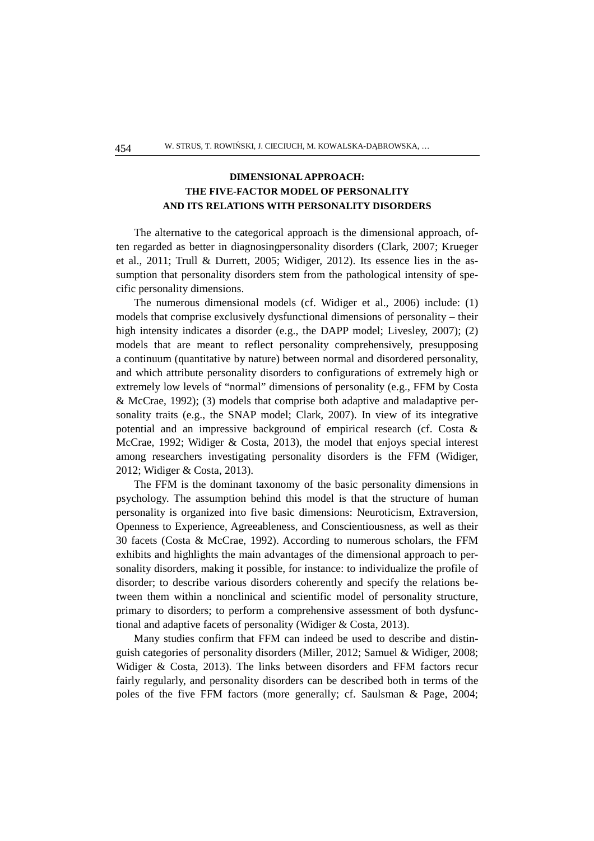## **DIMENSIONAL APPROACH: THE FIVE-FACTOR MODEL OF PERSONALITY AND ITS RELATIONS WITH PERSONALITY DISORDERS**

The alternative to the categorical approach is the dimensional approach, often regarded as better in diagnosingpersonality disorders (Clark, 2007; Krueger et al., 2011; Trull & Durrett, 2005; Widiger, 2012). Its essence lies in the assumption that personality disorders stem from the pathological intensity of specific personality dimensions.

The numerous dimensional models (cf. Widiger et al., 2006) include: (1) models that comprise exclusively dysfunctional dimensions of personality – their high intensity indicates a disorder (e.g., the DAPP model; Livesley, 2007); (2) models that are meant to reflect personality comprehensively, presupposing a continuum (quantitative by nature) between normal and disordered personality, and which attribute personality disorders to configurations of extremely high or extremely low levels of "normal" dimensions of personality (e.g., FFM by Costa & McCrae, 1992); (3) models that comprise both adaptive and maladaptive personality traits (e.g., the SNAP model; Clark, 2007). In view of its integrative potential and an impressive background of empirical research (cf. Costa & McCrae, 1992; Widiger & Costa, 2013), the model that enjoys special interest among researchers investigating personality disorders is the FFM (Widiger, 2012; Widiger & Costa, 2013).

The FFM is the dominant taxonomy of the basic personality dimensions in psychology. The assumption behind this model is that the structure of human personality is organized into five basic dimensions: Neuroticism, Extraversion, Openness to Experience, Agreeableness, and Conscientiousness, as well as their 30 facets (Costa & McCrae, 1992). According to numerous scholars, the FFM exhibits and highlights the main advantages of the dimensional approach to personality disorders, making it possible, for instance: to individualize the profile of disorder; to describe various disorders coherently and specify the relations between them within a nonclinical and scientific model of personality structure, primary to disorders; to perform a comprehensive assessment of both dysfunctional and adaptive facets of personality (Widiger & Costa, 2013).

Many studies confirm that FFM can indeed be used to describe and distinguish categories of personality disorders (Miller, 2012; Samuel & Widiger, 2008; Widiger & Costa, 2013). The links between disorders and FFM factors recur fairly regularly, and personality disorders can be described both in terms of the poles of the five FFM factors (more generally; cf. Saulsman & Page, 2004;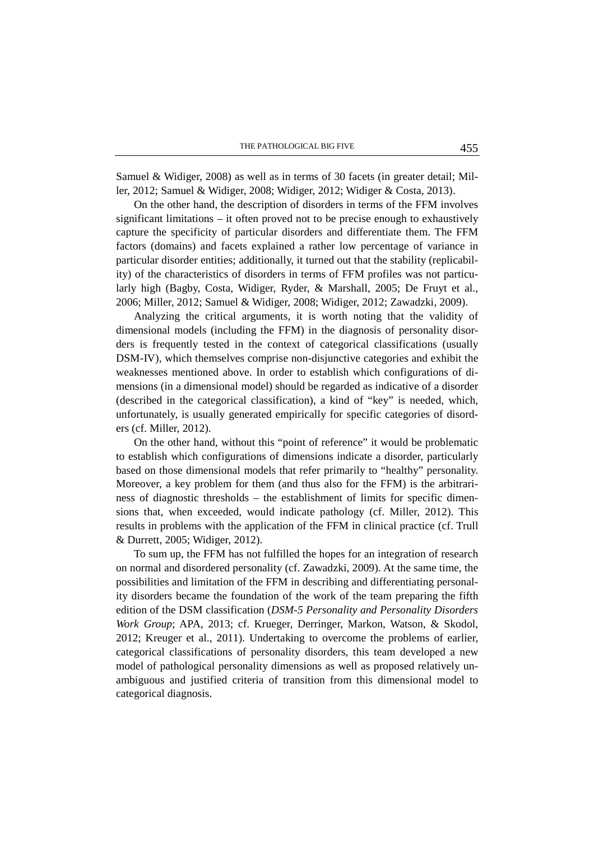Samuel & Widiger, 2008) as well as in terms of 30 facets (in greater detail; Miller, 2012; Samuel & Widiger, 2008; Widiger, 2012; Widiger & Costa, 2013).

On the other hand, the description of disorders in terms of the FFM involves significant limitations – it often proved not to be precise enough to exhaustively capture the specificity of particular disorders and differentiate them. The FFM factors (domains) and facets explained a rather low percentage of variance in particular disorder entities; additionally, it turned out that the stability (replicability) of the characteristics of disorders in terms of FFM profiles was not particularly high (Bagby, Costa, Widiger, Ryder, & Marshall, 2005; De Fruyt et al., 2006; Miller, 2012; Samuel & Widiger, 2008; Widiger, 2012; Zawadzki, 2009).

Analyzing the critical arguments, it is worth noting that the validity of dimensional models (including the FFM) in the diagnosis of personality disorders is frequently tested in the context of categorical classifications (usually DSM-IV), which themselves comprise non-disjunctive categories and exhibit the weaknesses mentioned above. In order to establish which configurations of dimensions (in a dimensional model) should be regarded as indicative of a disorder (described in the categorical classification), a kind of "key" is needed, which, unfortunately, is usually generated empirically for specific categories of disorders (cf. Miller, 2012).

On the other hand, without this "point of reference" it would be problematic to establish which configurations of dimensions indicate a disorder, particularly based on those dimensional models that refer primarily to "healthy" personality. Moreover, a key problem for them (and thus also for the FFM) is the arbitrariness of diagnostic thresholds – the establishment of limits for specific dimensions that, when exceeded, would indicate pathology (cf. Miller, 2012). This results in problems with the application of the FFM in clinical practice (cf. Trull & Durrett, 2005; Widiger, 2012).

To sum up, the FFM has not fulfilled the hopes for an integration of research on normal and disordered personality (cf. Zawadzki, 2009). At the same time, the possibilities and limitation of the FFM in describing and differentiating personality disorders became the foundation of the work of the team preparing the fifth edition of the DSM classification (*DSM-5 Personality and Personality Disorders Work Group*; APA, 2013; cf. Krueger, Derringer, Markon, Watson, & Skodol, 2012; Kreuger et al., 2011). Undertaking to overcome the problems of earlier, categorical classifications of personality disorders, this team developed a new model of pathological personality dimensions as well as proposed relatively unambiguous and justified criteria of transition from this dimensional model to categorical diagnosis.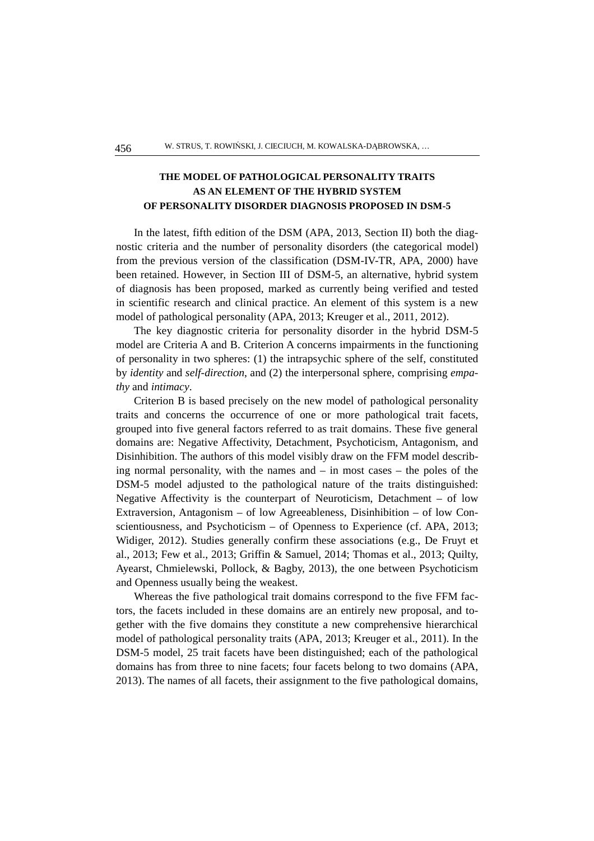## **THE MODEL OF PATHOLOGICAL PERSONALITY TRAITS AS AN ELEMENT OF THE HYBRID SYSTEM OF PERSONALITY DISORDER DIAGNOSIS PROPOSED IN DSM-5**

In the latest, fifth edition of the DSM (APA, 2013, Section II) both the diagnostic criteria and the number of personality disorders (the categorical model) from the previous version of the classification (DSM-IV-TR, APA, 2000) have been retained. However, in Section III of DSM-5, an alternative, hybrid system of diagnosis has been proposed, marked as currently being verified and tested in scientific research and clinical practice. An element of this system is a new model of pathological personality (APA, 2013; Kreuger et al., 2011, 2012).

The key diagnostic criteria for personality disorder in the hybrid DSM-5 model are Criteria A and B. Criterion A concerns impairments in the functioning of personality in two spheres: (1) the intrapsychic sphere of the self, constituted by *identity* and *self-direction*, and (2) the interpersonal sphere, comprising *empathy* and *intimacy*.

Criterion B is based precisely on the new model of pathological personality traits and concerns the occurrence of one or more pathological trait facets, grouped into five general factors referred to as trait domains. These five general domains are: Negative Affectivity, Detachment, Psychoticism, Antagonism, and Disinhibition. The authors of this model visibly draw on the FFM model describing normal personality, with the names and – in most cases – the poles of the DSM-5 model adjusted to the pathological nature of the traits distinguished: Negative Affectivity is the counterpart of Neuroticism, Detachment – of low Extraversion, Antagonism – of low Agreeableness, Disinhibition – of low Conscientiousness, and Psychoticism – of Openness to Experience (cf. APA, 2013; Widiger, 2012). Studies generally confirm these associations (e.g., De Fruyt et al., 2013; Few et al., 2013; Griffin & Samuel, 2014; Thomas et al., 2013; Quilty, Ayearst, Chmielewski, Pollock, & Bagby, 2013), the one between Psychoticism and Openness usually being the weakest.

Whereas the five pathological trait domains correspond to the five FFM factors, the facets included in these domains are an entirely new proposal, and together with the five domains they constitute a new comprehensive hierarchical model of pathological personality traits (APA, 2013; Kreuger et al., 2011). In the DSM-5 model, 25 trait facets have been distinguished; each of the pathological domains has from three to nine facets; four facets belong to two domains (APA, 2013). The names of all facets, their assignment to the five pathological domains,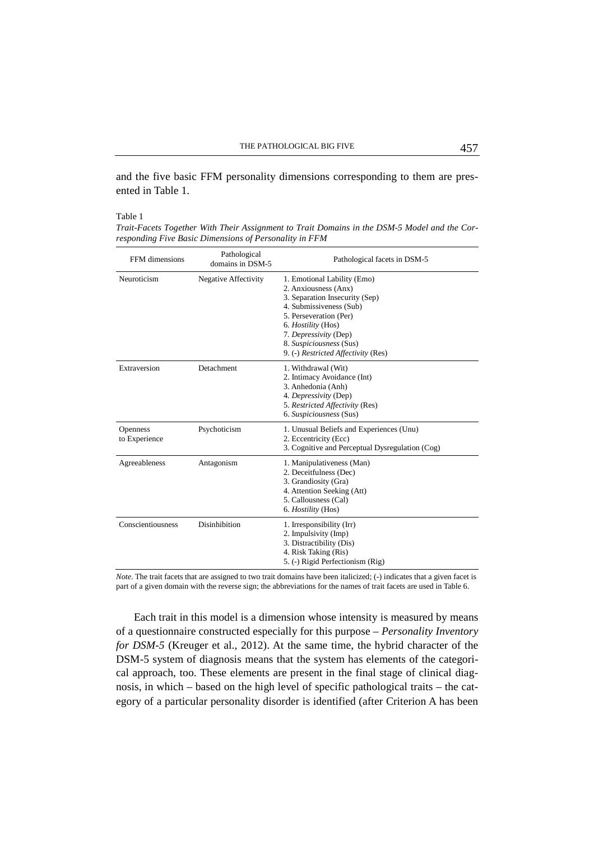and the five basic FFM personality dimensions corresponding to them are presented in Table 1.

#### Table 1

*Trait-Facets Together With Their Assignment to Trait Domains in the DSM-5 Model and the Corresponding Five Basic Dimensions of Personality in FFM* 

| FFM dimensions            | Pathological<br>domains in DSM-5 | Pathological facets in DSM-5                                                                                                                                                                                                                                       |
|---------------------------|----------------------------------|--------------------------------------------------------------------------------------------------------------------------------------------------------------------------------------------------------------------------------------------------------------------|
| Neuroticism               | <b>Negative Affectivity</b>      | 1. Emotional Lability (Emo)<br>2. Anxiousness (Anx)<br>3. Separation Insecurity (Sep)<br>4. Submissiveness (Sub)<br>5. Perseveration (Per)<br>6. <i>Hostility</i> (Hos)<br>7. Depressivity (Dep)<br>8. Suspiciousness (Sus)<br>9. (-) Restricted Affectivity (Res) |
| Extraversion              | Detachment                       | 1. Withdrawal (Wit)<br>2. Intimacy Avoidance (Int)<br>3. Anhedonia (Anh)<br>4. Depressivity (Dep)<br>5. Restricted Affectivity (Res)<br>6. Suspiciousness (Sus)                                                                                                    |
| Openness<br>to Experience | Psychoticism                     | 1. Unusual Beliefs and Experiences (Unu)<br>2. Eccentricity (Ecc)<br>3. Cognitive and Perceptual Dysregulation (Cog)                                                                                                                                               |
| Agreeableness             | Antagonism                       | 1. Manipulativeness (Man)<br>2. Deceitfulness (Dec)<br>3. Grandiosity (Gra)<br>4. Attention Seeking (Att)<br>5. Callousness (Cal)<br>6. <i>Hostility</i> (Hos)                                                                                                     |
| Conscientiousness         | <b>Disinhibition</b>             | 1. Irresponsibility (Irr)<br>2. Impulsivity (Imp)<br>3. Distractibility (Dis)<br>4. Risk Taking (Ris)<br>5. (-) Rigid Perfectionism (Rig)                                                                                                                          |

*Note.* The trait facets that are assigned to two trait domains have been italicized; (-) indicates that a given facet is part of a given domain with the reverse sign; the abbreviations for the names of trait facets are used in Table 6.

Each trait in this model is a dimension whose intensity is measured by means of a questionnaire constructed especially for this purpose – *Personality Inventory for DSM-5* (Kreuger et al., 2012). At the same time, the hybrid character of the DSM-5 system of diagnosis means that the system has elements of the categorical approach, too. These elements are present in the final stage of clinical diagnosis, in which – based on the high level of specific pathological traits – the category of a particular personality disorder is identified (after Criterion A has been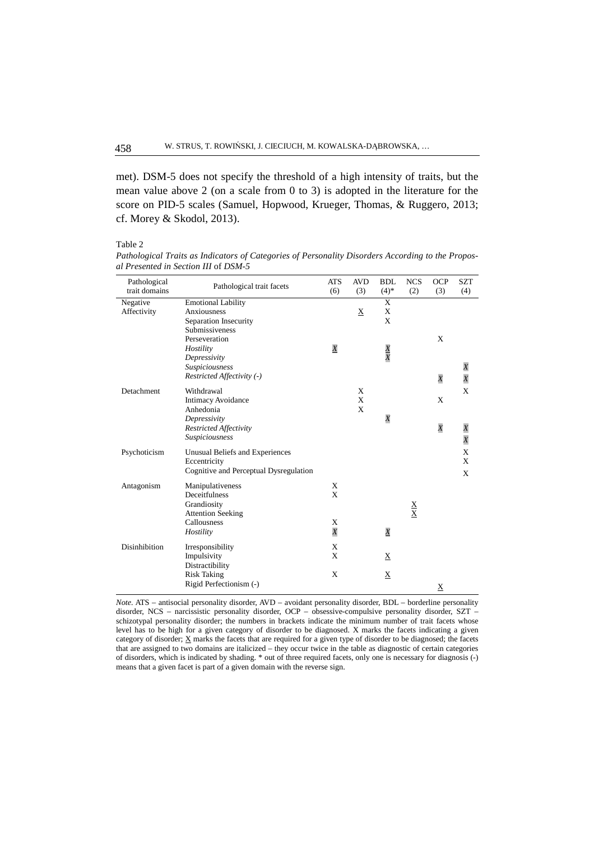met). DSM-5 does not specify the threshold of a high intensity of traits, but the mean value above 2 (on a scale from 0 to 3) is adopted in the literature for the score on PID-5 scales (Samuel, Hopwood, Krueger, Thomas, & Ruggero, 2013; cf. Morey & Skodol, 2013).

Table 2

*Pathological Traits as Indicators of Categories of Personality Disorders According to the Proposal Presented in Section III* of *DSM-5* 

| Pathological<br>trait domains | Pathological trait facets                                                                   | <b>ATS</b><br>(6) | <b>AVD</b><br>(3) | <b>BDL</b><br>$(4)$ *    | <b>NCS</b><br>(2)               | <b>OCP</b><br>(3) | <b>SZT</b><br>(4)                  |
|-------------------------------|---------------------------------------------------------------------------------------------|-------------------|-------------------|--------------------------|---------------------------------|-------------------|------------------------------------|
| Negative<br>Affectivity       | <b>Emotional Lability</b><br>Anxiousness<br>Separation Insecurity<br>Submissiveness         |                   | $\mathbf X$       | X<br>X<br>X              |                                 |                   |                                    |
|                               | Perseveration<br>Hostility<br>Depressivity                                                  | $\overline{X}$    |                   | $\frac{X}{X}$            |                                 | X                 |                                    |
|                               | Suspiciousness<br>Restricted Affectivity (-)                                                |                   |                   |                          |                                 | $\overline{X}$    | X<br>$\overline{X}$                |
| Detachment                    | Withdrawal<br><b>Intimacy Avoidance</b><br>Anhedonia                                        |                   | X<br>X<br>X       |                          |                                 | X                 | X                                  |
|                               | Depressivity<br>Restricted Affectivity<br>Suspiciousness                                    |                   |                   | $\boldsymbol{X}$         |                                 | $\overline{X}$    | $\boldsymbol{X}$<br>$\overline{X}$ |
| Psychoticism                  | Unusual Beliefs and Experiences<br>Eccentricity<br>Cognitive and Perceptual Dysregulation   |                   |                   |                          |                                 |                   | X<br>X<br>X                        |
| Antagonism                    | Manipulativeness<br>Deceitfulness<br>Grandiosity<br><b>Attention Seeking</b><br>Callousness | X<br>X<br>X       |                   |                          | $\frac{\mathbf{X}}{\mathbf{X}}$ |                   |                                    |
|                               | Hostility                                                                                   | $\overline{X}$    |                   | $\overline{X}$           |                                 |                   |                                    |
| Disinhibition                 | Irresponsibility<br>Impulsivity<br>Distractibility                                          | X<br>X            |                   | $\bf \underline{X}$      |                                 |                   |                                    |
|                               | <b>Risk Taking</b><br>Rigid Perfectionism (-)                                               | X                 |                   | $\underline{\textbf{X}}$ |                                 | $\underline{X}$   |                                    |

*Note.* ATS – antisocial personality disorder, AVD – avoidant personality disorder, BDL – borderline personality disorder, NCS – narcissistic personality disorder, OCP – obsessive-compulsive personality disorder, SZT – schizotypal personality disorder; the numbers in brackets indicate the minimum number of trait facets whose level has to be high for a given category of disorder to be diagnosed. X marks the facets indicating a given category of disorder; X marks the facets that are required for a given type of disorder to be diagnosed; the facets that are assigned to two domains are italicized – they occur twice in the table as diagnostic of certain categories of disorders, which is indicated by shading. \* out of three required facets, only one is necessary for diagnosis (-) means that a given facet is part of a given domain with the reverse sign.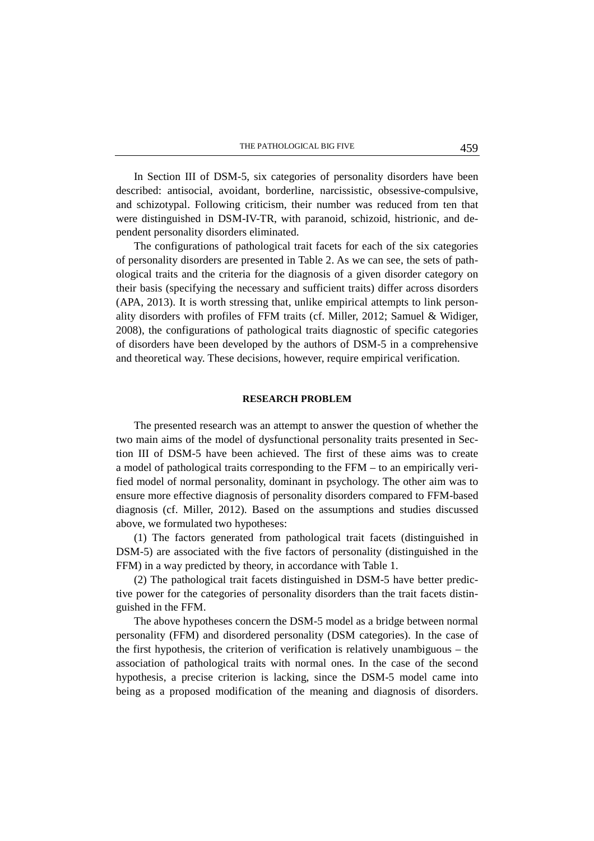In Section III of DSM-5, six categories of personality disorders have been described: antisocial, avoidant, borderline, narcissistic, obsessive-compulsive, and schizotypal. Following criticism, their number was reduced from ten that were distinguished in DSM-IV-TR, with paranoid, schizoid, histrionic, and dependent personality disorders eliminated.

The configurations of pathological trait facets for each of the six categories of personality disorders are presented in Table 2. As we can see, the sets of pathological traits and the criteria for the diagnosis of a given disorder category on their basis (specifying the necessary and sufficient traits) differ across disorders (APA, 2013). It is worth stressing that, unlike empirical attempts to link personality disorders with profiles of FFM traits (cf. Miller, 2012; Samuel & Widiger, 2008), the configurations of pathological traits diagnostic of specific categories of disorders have been developed by the authors of DSM-5 in a comprehensive and theoretical way. These decisions, however, require empirical verification.

### **RESEARCH PROBLEM**

The presented research was an attempt to answer the question of whether the two main aims of the model of dysfunctional personality traits presented in Section III of DSM-5 have been achieved. The first of these aims was to create a model of pathological traits corresponding to the FFM – to an empirically verified model of normal personality, dominant in psychology. The other aim was to ensure more effective diagnosis of personality disorders compared to FFM-based diagnosis (cf. Miller, 2012). Based on the assumptions and studies discussed above, we formulated two hypotheses:

(1) The factors generated from pathological trait facets (distinguished in DSM-5) are associated with the five factors of personality (distinguished in the FFM) in a way predicted by theory, in accordance with Table 1.

(2) The pathological trait facets distinguished in DSM-5 have better predictive power for the categories of personality disorders than the trait facets distinguished in the FFM.

The above hypotheses concern the DSM-5 model as a bridge between normal personality (FFM) and disordered personality (DSM categories). In the case of the first hypothesis, the criterion of verification is relatively unambiguous – the association of pathological traits with normal ones. In the case of the second hypothesis, a precise criterion is lacking, since the DSM-5 model came into being as a proposed modification of the meaning and diagnosis of disorders.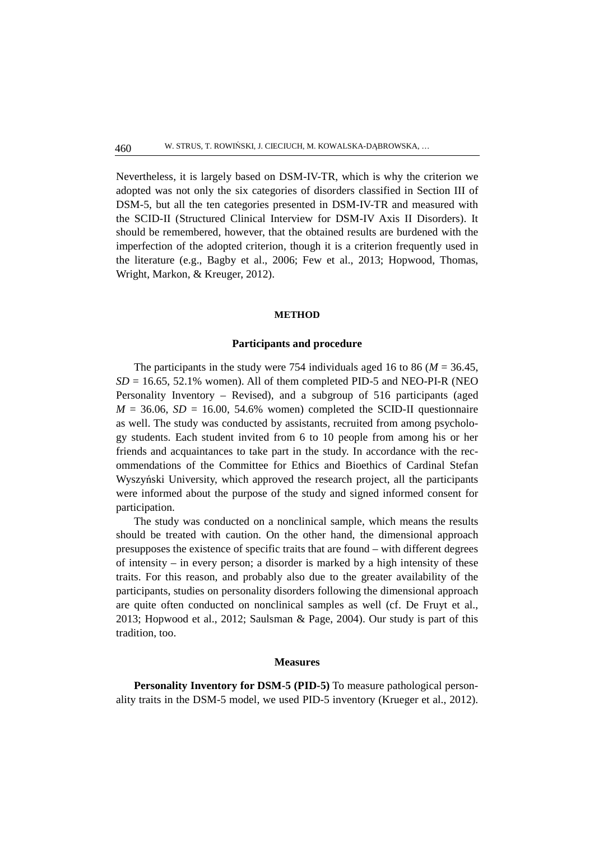Nevertheless, it is largely based on DSM-IV-TR, which is why the criterion we adopted was not only the six categories of disorders classified in Section III of DSM-5, but all the ten categories presented in DSM-IV-TR and measured with the SCID-II (Structured Clinical Interview for DSM-IV Axis II Disorders). It should be remembered, however, that the obtained results are burdened with the imperfection of the adopted criterion, though it is a criterion frequently used in the literature (e.g., Bagby et al., 2006; Few et al., 2013; Hopwood, Thomas, Wright, Markon, & Kreuger, 2012).

## **METHOD**

#### **Participants and procedure**

The participants in the study were 754 individuals aged 16 to 86 ( $M = 36.45$ ,  $SD = 16.65$ , 52.1% women). All of them completed PID-5 and NEO-PI-R (NEO Personality Inventory – Revised), and a subgroup of 516 participants (aged  $M = 36.06$ ,  $SD = 16.00$ , 54.6% women) completed the SCID-II questionnaire as well. The study was conducted by assistants, recruited from among psychology students. Each student invited from 6 to 10 people from among his or her friends and acquaintances to take part in the study. In accordance with the recommendations of the Committee for Ethics and Bioethics of Cardinal Stefan Wyszyński University, which approved the research project, all the participants were informed about the purpose of the study and signed informed consent for participation.

The study was conducted on a nonclinical sample, which means the results should be treated with caution. On the other hand, the dimensional approach presupposes the existence of specific traits that are found – with different degrees of intensity – in every person; a disorder is marked by a high intensity of these traits. For this reason, and probably also due to the greater availability of the participants, studies on personality disorders following the dimensional approach are quite often conducted on nonclinical samples as well (cf. De Fruyt et al., 2013; Hopwood et al., 2012; Saulsman & Page, 2004). Our study is part of this tradition, too.

## **Measures**

**Personality Inventory for DSM-5 (PID-5)** To measure pathological personality traits in the DSM-5 model, we used PID-5 inventory (Krueger et al., 2012).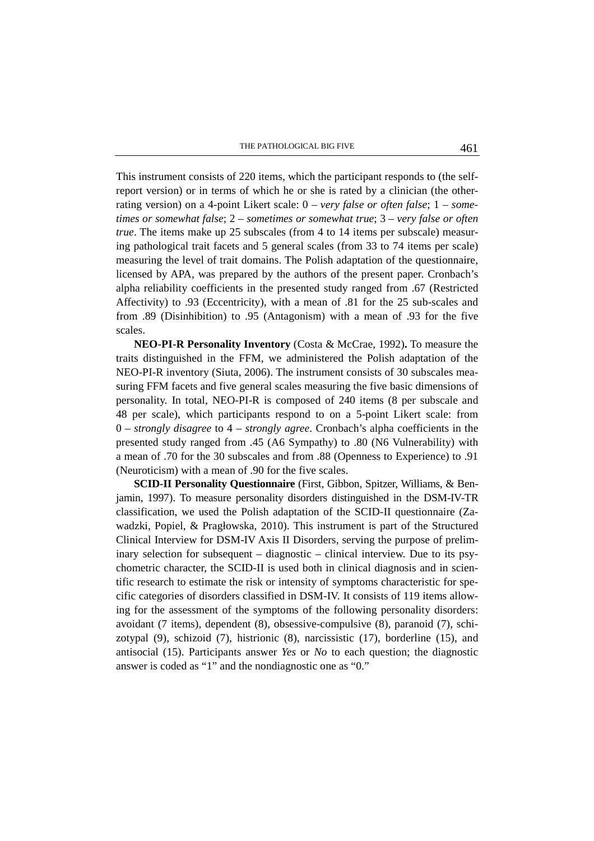This instrument consists of 220 items, which the participant responds to (the selfreport version) or in terms of which he or she is rated by a clinician (the otherrating version) on a 4-point Likert scale: 0 – *very false or often false*; 1 – *sometimes or somewhat false*; 2 – *sometimes or somewhat true*; 3 – *very false or often true*. The items make up 25 subscales (from 4 to 14 items per subscale) measuring pathological trait facets and 5 general scales (from 33 to 74 items per scale) measuring the level of trait domains. The Polish adaptation of the questionnaire, licensed by APA, was prepared by the authors of the present paper. Cronbach's alpha reliability coefficients in the presented study ranged from .67 (Restricted Affectivity) to .93 (Eccentricity), with a mean of .81 for the 25 sub-scales and from .89 (Disinhibition) to .95 (Antagonism) with a mean of .93 for the five scales.

**NEO-PI-R Personality Inventory** (Costa & McCrae, 1992)**.** To measure the traits distinguished in the FFM, we administered the Polish adaptation of the NEO-PI-R inventory (Siuta, 2006). The instrument consists of 30 subscales measuring FFM facets and five general scales measuring the five basic dimensions of personality. In total, NEO-PI-R is composed of 240 items (8 per subscale and 48 per scale), which participants respond to on a 5-point Likert scale: from 0 – *strongly disagree* to 4 – *strongly agree*. Cronbach's alpha coefficients in the presented study ranged from .45 (A6 Sympathy) to .80 (N6 Vulnerability) with a mean of .70 for the 30 subscales and from .88 (Openness to Experience) to .91 (Neuroticism) with a mean of .90 for the five scales.

**SCID-II Personality Questionnaire** (First, Gibbon, Spitzer, Williams, & Benjamin, 1997). To measure personality disorders distinguished in the DSM-IV-TR classification, we used the Polish adaptation of the SCID-II questionnaire (Zawadzki, Popiel, & Pragłowska, 2010). This instrument is part of the Structured Clinical Interview for DSM-IV Axis II Disorders, serving the purpose of preliminary selection for subsequent – diagnostic – clinical interview. Due to its psychometric character, the SCID-II is used both in clinical diagnosis and in scientific research to estimate the risk or intensity of symptoms characteristic for specific categories of disorders classified in DSM-IV. It consists of 119 items allowing for the assessment of the symptoms of the following personality disorders: avoidant (7 items), dependent (8), obsessive-compulsive (8), paranoid (7), schizotypal (9), schizoid (7), histrionic (8), narcissistic (17), borderline (15), and antisocial (15). Participants answer *Yes* or *No* to each question; the diagnostic answer is coded as "1" and the nondiagnostic one as "0."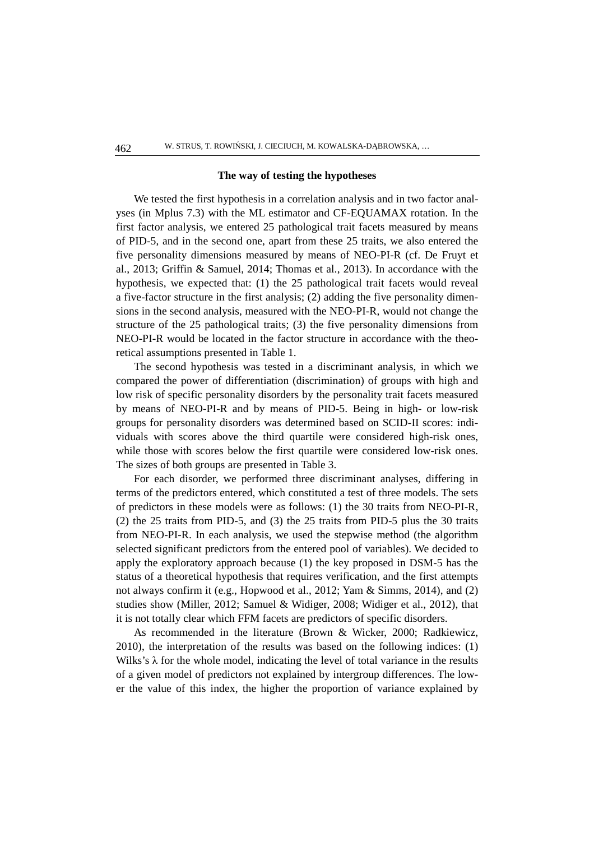#### **The way of testing the hypotheses**

We tested the first hypothesis in a correlation analysis and in two factor analyses (in Mplus 7.3) with the ML estimator and CF-EQUAMAX rotation. In the first factor analysis, we entered 25 pathological trait facets measured by means of PID-5, and in the second one, apart from these 25 traits, we also entered the five personality dimensions measured by means of NEO-PI-R (cf. De Fruyt et al., 2013; Griffin & Samuel, 2014; Thomas et al., 2013). In accordance with the hypothesis, we expected that: (1) the 25 pathological trait facets would reveal a five-factor structure in the first analysis; (2) adding the five personality dimensions in the second analysis, measured with the NEO-PI-R, would not change the structure of the 25 pathological traits; (3) the five personality dimensions from NEO-PI-R would be located in the factor structure in accordance with the theoretical assumptions presented in Table 1.

The second hypothesis was tested in a discriminant analysis, in which we compared the power of differentiation (discrimination) of groups with high and low risk of specific personality disorders by the personality trait facets measured by means of NEO-PI-R and by means of PID-5. Being in high- or low-risk groups for personality disorders was determined based on SCID-II scores: individuals with scores above the third quartile were considered high-risk ones, while those with scores below the first quartile were considered low-risk ones. The sizes of both groups are presented in Table 3.

For each disorder, we performed three discriminant analyses, differing in terms of the predictors entered, which constituted a test of three models. The sets of predictors in these models were as follows: (1) the 30 traits from NEO-PI-R, (2) the 25 traits from PID-5, and (3) the 25 traits from PID-5 plus the 30 traits from NEO-PI-R. In each analysis, we used the stepwise method (the algorithm selected significant predictors from the entered pool of variables). We decided to apply the exploratory approach because (1) the key proposed in DSM-5 has the status of a theoretical hypothesis that requires verification, and the first attempts not always confirm it (e.g., Hopwood et al., 2012; Yam & Simms, 2014), and (2) studies show (Miller, 2012; Samuel & Widiger, 2008; Widiger et al., 2012), that it is not totally clear which FFM facets are predictors of specific disorders.

As recommended in the literature (Brown & Wicker, 2000; Radkiewicz, 2010), the interpretation of the results was based on the following indices: (1) Wilks's  $\lambda$  for the whole model, indicating the level of total variance in the results of a given model of predictors not explained by intergroup differences. The lower the value of this index, the higher the proportion of variance explained by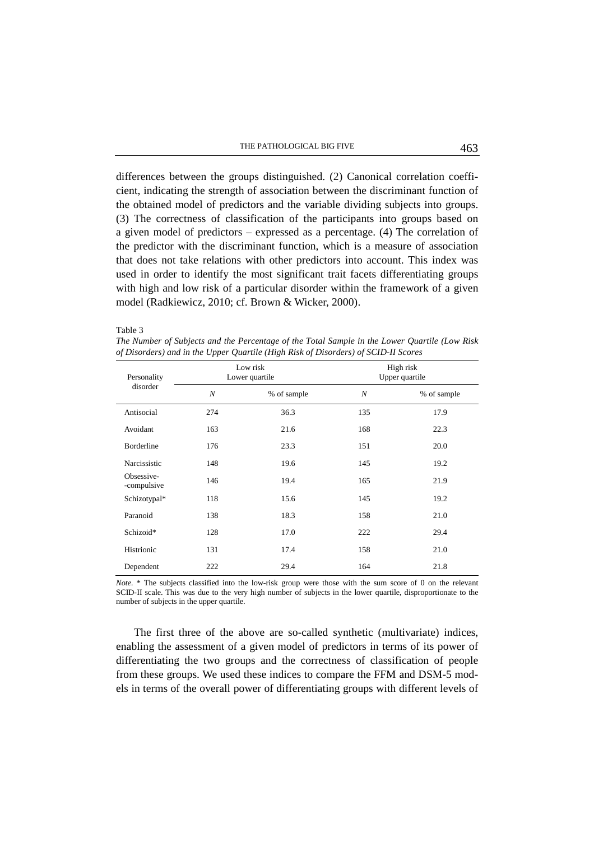differences between the groups distinguished. (2) Canonical correlation coefficient, indicating the strength of association between the discriminant function of the obtained model of predictors and the variable dividing subjects into groups. (3) The correctness of classification of the participants into groups based on a given model of predictors – expressed as a percentage. (4) The correlation of the predictor with the discriminant function, which is a measure of association that does not take relations with other predictors into account. This index was used in order to identify the most significant trait facets differentiating groups with high and low risk of a particular disorder within the framework of a given model (Radkiewicz, 2010; cf. Brown & Wicker, 2000).

Table 3

*The Number of Subjects and the Percentage of the Total Sample in the Lower Quartile (Low Risk of Disorders) and in the Upper Quartile (High Risk of Disorders) of SCID-II Scores*

| Personality<br>disorder   |     | Low risk<br>Lower quartile | High risk<br>Upper quartile |             |  |
|---------------------------|-----|----------------------------|-----------------------------|-------------|--|
|                           | N   | % of sample                | N                           | % of sample |  |
| Antisocial                | 274 | 36.3                       | 135                         | 17.9        |  |
| Avoidant                  | 163 | 21.6                       | 168                         | 22.3        |  |
| <b>Borderline</b>         | 176 | 23.3                       | 151                         | 20.0        |  |
| Narcissistic              | 148 | 19.6                       | 145                         | 19.2        |  |
| Obsessive-<br>-compulsive | 146 | 19.4                       | 165                         | 21.9        |  |
| Schizotypal*              | 118 | 15.6                       | 145                         | 19.2        |  |
| Paranoid                  | 138 | 18.3                       | 158                         | 21.0        |  |
| Schizoid*                 | 128 | 17.0                       | 222                         | 29.4        |  |
| Histrionic                | 131 | 17.4                       | 158                         | 21.0        |  |
| Dependent                 | 222 | 29.4                       | 164                         | 21.8        |  |

*Note.* \* The subjects classified into the low-risk group were those with the sum score of 0 on the relevant SCID-II scale. This was due to the very high number of subjects in the lower quartile, disproportionate to the number of subjects in the upper quartile.

The first three of the above are so-called synthetic (multivariate) indices, enabling the assessment of a given model of predictors in terms of its power of differentiating the two groups and the correctness of classification of people from these groups. We used these indices to compare the FFM and DSM-5 models in terms of the overall power of differentiating groups with different levels of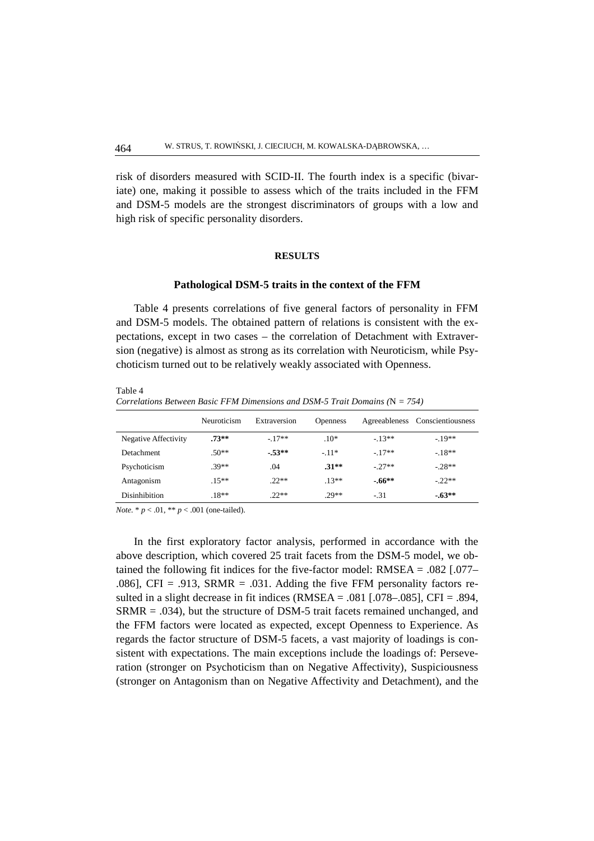risk of disorders measured with SCID-II. The fourth index is a specific (bivariate) one, making it possible to assess which of the traits included in the FFM and DSM-5 models are the strongest discriminators of groups with a low and high risk of specific personality disorders.

## **RESULTS**

#### **Pathological DSM-5 traits in the context of the FFM**

Table 4 presents correlations of five general factors of personality in FFM and DSM-5 models. The obtained pattern of relations is consistent with the expectations, except in two cases – the correlation of Detachment with Extraversion (negative) is almost as strong as its correlation with Neuroticism, while Psychoticism turned out to be relatively weakly associated with Openness.

Table 4

*Correlations Between Basic FFM Dimensions and DSM-5 Trait Domains (*N *= 754)* 

|                      | Neuroticism | Extraversion | <b>Openness</b> | Agreeableness | Conscientiousness |
|----------------------|-------------|--------------|-----------------|---------------|-------------------|
| Negative Affectivity | $.73**$     | $-17**$      | $.10*$          | $-13**$       | $-19**$           |
| <b>Detachment</b>    | $.50**$     | $-53**$      | $-11*$          | $-17**$       | $-.18**$          |
| Psychoticism         | $.39**$     | .04          | $.31**$         | $-27**$       | $-.28**$          |
| Antagonism           | $.15**$     | $.22**$      | $.13**$         | $-66**$       | $-.22**$          |
| <b>Disinhibition</b> | $.18**$     | $22**$       | $29**$          | $-.31$        | $-63**$           |

*Note.* \* *p* < .01, \*\* *p* < .001 (one-tailed).

In the first exploratory factor analysis, performed in accordance with the above description, which covered 25 trait facets from the DSM-5 model, we obtained the following fit indices for the five-factor model: RMSEA = .082 [.077– .086], CFI = .913, SRMR = .031. Adding the five FFM personality factors resulted in a slight decrease in fit indices (RMSEA = .081 [.078–.085], CFI = .894, SRMR = .034), but the structure of DSM-5 trait facets remained unchanged, and the FFM factors were located as expected, except Openness to Experience. As regards the factor structure of DSM-5 facets, a vast majority of loadings is consistent with expectations. The main exceptions include the loadings of: Perseveration (stronger on Psychoticism than on Negative Affectivity), Suspiciousness (stronger on Antagonism than on Negative Affectivity and Detachment), and the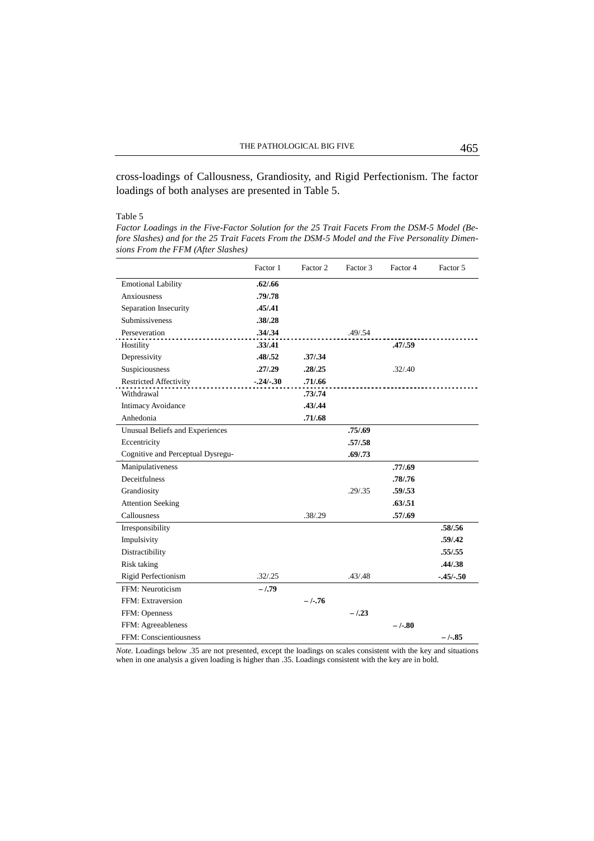cross-loadings of Callousness, Grandiosity, and Rigid Perfectionism. The factor loadings of both analyses are presented in Table 5.

### Table 5

*Factor Loadings in the Five-Factor Solution for the 25 Trait Facets From the DSM-5 Model (Before Slashes) and for the 25 Trait Facets From the DSM-5 Model and the Five Personality Dimensions From the FFM (After Slashes)* 

|                                        | Factor 1    | Factor 2 | Factor 3 | Factor 4 | Factor 5    |
|----------------------------------------|-------------|----------|----------|----------|-------------|
| <b>Emotional Lability</b>              | .62/0.66    |          |          |          |             |
| Anxiousness                            | .79/.78     |          |          |          |             |
| Separation Insecurity                  | .45/0.41    |          |          |          |             |
| Submissiveness                         | .38/.28     |          |          |          |             |
| Perseveration                          | .34/0.34    |          | .49/0.54 |          |             |
| Hostility                              | .33/.41     |          |          | .47/0.59 |             |
| Depressivity                           | .48/0.52    | .37/0.34 |          |          |             |
| Suspiciousness                         | .27/.29     | .28/0.25 |          | .32/.40  |             |
| <b>Restricted Affectivity</b>          | $-.24/-.30$ | .71/0.66 |          |          |             |
| Withdrawal                             |             | .73/0.74 |          |          |             |
| <b>Intimacy Avoidance</b>              |             | .43/.44  |          |          |             |
| Anhedonia                              |             | .71/0.68 |          |          |             |
| <b>Unusual Beliefs and Experiences</b> |             |          | .75/0.69 |          |             |
| Eccentricity                           |             |          | .57/0.58 |          |             |
| Cognitive and Perceptual Dysregu-      |             |          | .69/0.73 |          |             |
| Manipulativeness                       |             |          |          | .77/0.69 |             |
| Deceitfulness                          |             |          |          | .78/.76  |             |
| Grandiosity                            |             |          | .29/0.35 | .59/.53  |             |
| <b>Attention Seeking</b>               |             |          |          | .63/0.51 |             |
| Callousness                            |             | .38/.29  |          | .57/0.69 |             |
| Irresponsibility                       |             |          |          |          | .58/.56     |
| Impulsivity                            |             |          |          |          | .59/0.42    |
| Distractibility                        |             |          |          |          | .55/.55     |
| Risk taking                            |             |          |          |          | .44/0.38    |
| Rigid Perfectionism                    | .32/.25     |          | .43/.48  |          | $-.45/-.50$ |
| FFM: Neuroticism                       | $-.79$      |          |          |          |             |
| FFM: Extraversion                      |             | $-/-.76$ |          |          |             |
| FFM: Openness                          |             |          | $-.23$   |          |             |
| FFM: Agreeableness                     |             |          |          | $-/-30$  |             |
| FFM: Conscientiousness                 |             |          |          |          | $-1.85$     |

*Note.* Loadings below .35 are not presented, except the loadings on scales consistent with the key and situations when in one analysis a given loading is higher than .35. Loadings consistent with the key are in bold.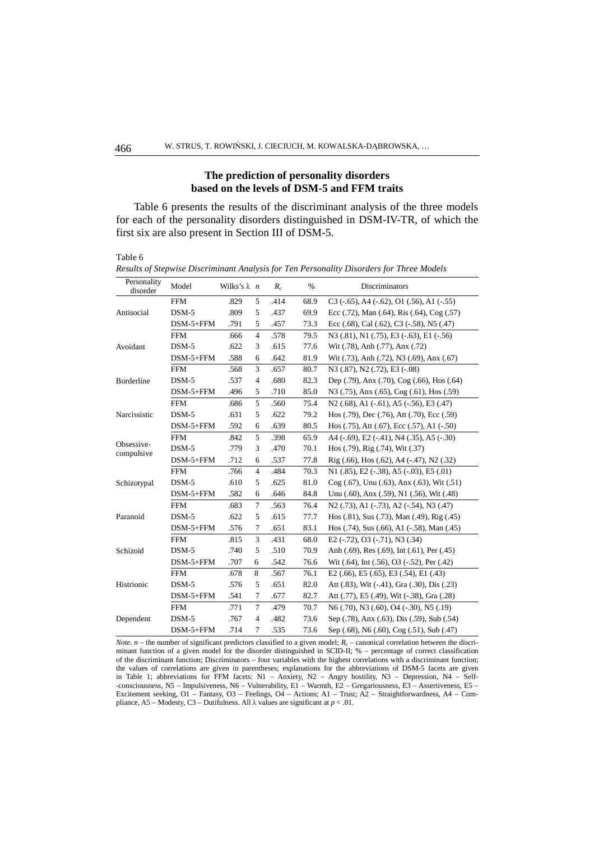## **The prediction of personality disorders based on the levels of DSM-5 and FFM traits**

Table 6 presents the results of the discriminant analysis of the three models for each of the personality disorders distinguished in DSM-IV-TR, of which the first six are also present in Section III of DSM-5.

Table 6

*Results of Stepwise Discriminant Analysis for Ten Personality Disorders for Three Models* 

| Personality<br>disorder  | Model       | Wilks's $\lambda$ n |                | $R_c$ | $\%$ | Discriminators                                                                           |
|--------------------------|-------------|---------------------|----------------|-------|------|------------------------------------------------------------------------------------------|
|                          | <b>FFM</b>  | .829                | 5              | .414  | 68.9 | $C3$ (-.65), A4 (-.62), O1 (.56), A1 (-.55)                                              |
| Antisocial               | $DSM-5$     | .809                | 5              | .437  | 69.9 | Ecc $(.72)$ , Man $(.64)$ , Ris $(.64)$ , Cog $(.57)$                                    |
|                          | $DSM-5+FFM$ | .791                | 5              | .457  | 73.3 | Ecc $(.68)$ , Cal $(.62)$ , C <sub>3</sub> $(-.58)$ , N <sub>5</sub> $(.47)$             |
|                          | <b>FFM</b>  | .666                | $\overline{4}$ | .578  | 79.5 | N3 (.81), N1 (.75), E3 (-.63), E1 (-.56)                                                 |
| Avoidant                 | $DSM-5$     | .622                | 3              | .615  | 77.6 | Wit (.78), Anh (.77), Anx (.72)                                                          |
|                          | $DSM-5+FFM$ | .588                | 6              | .642  | 81.9 | Wit (.73), Anh (.72), N3 (.69), Anx (.67)                                                |
|                          | <b>FFM</b>  | .568                | 3              | .657  | 80.7 | N3 (.87), N2 (.72), E3 (-.08)                                                            |
| <b>Borderline</b>        | $DSM-5$     | .537                | $\overline{4}$ | .680  | 82.3 | Dep $(.79)$ , Anx $(.70)$ , Cog $(.66)$ , Hos $(.64)$                                    |
|                          | $DSM-5+FFM$ | .496                | 5              | .710  | 85.0 | N3 (.75), Anx (.65), Cog (.61), Hos (.59)                                                |
|                          | <b>FFM</b>  | .686                | 5              | .560  | 75.4 | $N2$ (.68), A1 (-.61), A5 (-.56), E3 (.47)                                               |
| Narcissistic             | $DSM-5$     | .631                | 5              | .622  | 79.2 | Hos (.79), Dec (.76), Att (.70), Ecc (.59)                                               |
|                          | $DSM-5+FFM$ | .592                | 6              | .639  | 80.5 | Hos $(.75)$ , Att $(.67)$ , Ecc $(.57)$ , A1 $(-.50)$                                    |
|                          | <b>FFM</b>  | .842                | 5              | .398  | 65.9 | A4 $(-.69)$ , E2 $(-.41)$ , N4 $(.35)$ , A5 $(-.30)$                                     |
| Obsessive-<br>compulsive | $DSM-5$     | .779                | 3              | .470  | 70.1 | Hos $(.79)$ , Rig $(.74)$ , Wit $(.37)$                                                  |
|                          | $DSM-5+FFM$ | .712                | 6              | .537  | 77.8 | Rig (.66), Hos (.62), A4 (-.47), N2 (.32)                                                |
|                          | <b>FFM</b>  | .766                | $\overline{4}$ | .484  | 70.3 | $N1$ (.85), E2 (-.38), A5 (-.03), E5 (.01)                                               |
| Schizotypal              | $DSM-5$     | .610                | 5              | .625  | 81.0 | $Cog(.67)$ , Unu $(.63)$ , Anx $(.63)$ , Wit $(.51)$                                     |
|                          | $DSM-5+FFM$ | .582                | 6              | .646  | 84.8 | Unu (.60), Anx (.59), N1 (.56), Wit (.48)                                                |
| Paranoid                 | <b>FFM</b>  | .683                | $\tau$         | .563  | 76.4 | N <sub>2</sub> (.73), A <sub>1</sub> (-.73), A <sub>2</sub> (-.54), N <sub>3</sub> (.47) |
|                          | $DSM-5$     | .622                | 5              | .615  | 77.7 | Hos (.81), Sus (.73), Man (.49), Rig (.45)                                               |
|                          | $DSM-5+FFM$ | .576                | 7              | .651  | 83.1 | Hos $(.74)$ , Sus $(.66)$ , A1 $(-.58)$ , Man $(.45)$                                    |
| Schizoid                 | <b>FFM</b>  | .815                | 3              | .431  | 68.0 | E2 $(-.72)$ , O3 $(-.71)$ , N3 $(.34)$                                                   |
|                          | $DSM-5$     | .740                | 5              | .510  | 70.9 | Anh (.69), Res (.69), Int (.61), Per (.45)                                               |
|                          | $DSM-5+FFM$ | .707                | 6              | .542  | 76.6 | Wit (.64), Int (.56), O3 (-.52), Per (.42)                                               |
| Histrionic               | <b>FFM</b>  | .678                | 8              | .567  | 76.1 | E2 $(.66)$ , E5 $(.65)$ , E3 $(.54)$ , E1 $(.43)$                                        |
|                          | $DSM-5$     | .576                | 5              | .651  | 82.0 | Att (.83), Wit (-.41), Gra (.30), Dis (.23)                                              |
|                          | $DSM-5+FFM$ | .541                | 7              | .677  | 82.7 | Att (.77), E5 (.49), Wit (-.38), Gra (.28)                                               |
| Dependent                | <b>FFM</b>  | .771                | $\tau$         | .479  | 70.7 | N <sub>6</sub> (.70), N <sub>3</sub> (.60), O <sub>4</sub> (-.30), N <sub>5</sub> (.19)  |
|                          | $DSM-5$     | .767                | $\overline{4}$ | .482  | 73.6 | Sep (.78), Anx (.63), Dis (.59), Sub (.54)                                               |
|                          | $DSM-5+FFM$ | .714                | 7              | .535  | 73.6 | Sep (.68), N6 (.60), Cog (.51), Sub (.47)                                                |

*Note.*  $n$  – the number of significant predictors classified to a given model;  $R_c$  – canonical correlation between the discriminant function of a given model for the disorder distinguished in SCID-II; % – percentage of correct classification of the discriminant function; Discriminators – four variables with the highest correlations with a discriminant function; the values of correlations are given in parentheses; explanations for the abbreviations of DSM-5 facets are given in Table 1; abbreviations for FFM facets: N1 – Anxiety, N2 – Angry hostility, N3 – Depression, N4 – Self- -consciousness, N5 – Impulsiveness, N6 – Vulnerability, E1 – Warmth, E2 – Gregariousness, E3 – Assertiveness, E5 – Excitement seeking, O1 – Fantasy, O3 – Feelings, O4 – Actions; A1 – Trust; A2 – Straightforwardness, A4 – Compliance, A5 – Modesty, C3 – Dutifulness. All λ values are significant at *p* < .01.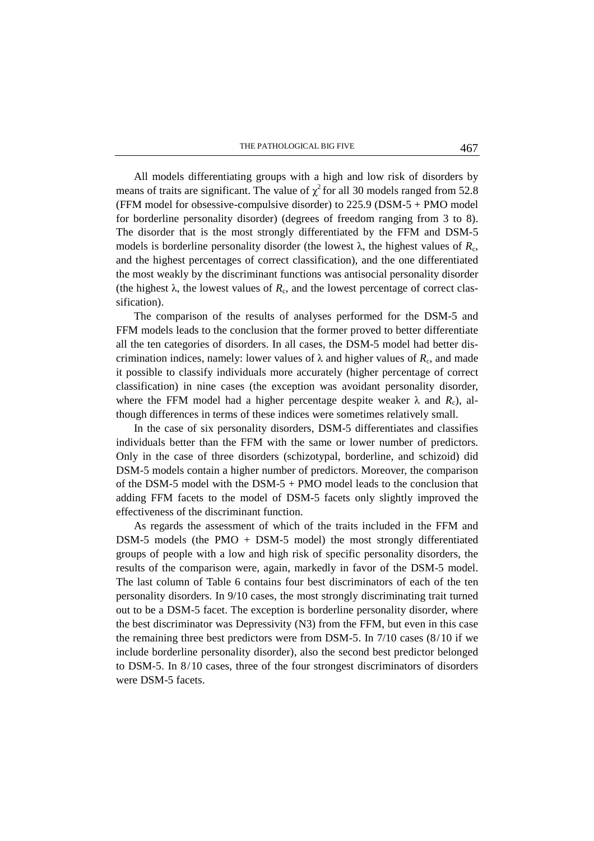All models differentiating groups with a high and low risk of disorders by means of traits are significant. The value of  $\chi^2$  for all 30 models ranged from 52.8 (FFM model for obsessive-compulsive disorder) to 225.9 (DSM-5 + PMO model for borderline personality disorder) (degrees of freedom ranging from 3 to 8). The disorder that is the most strongly differentiated by the FFM and DSM-5 models is borderline personality disorder (the lowest  $\lambda$ , the highest values of  $R_c$ , and the highest percentages of correct classification), and the one differentiated the most weakly by the discriminant functions was antisocial personality disorder (the highest  $\lambda$ , the lowest values of  $R_c$ , and the lowest percentage of correct classification).

The comparison of the results of analyses performed for the DSM-5 and FFM models leads to the conclusion that the former proved to better differentiate all the ten categories of disorders. In all cases, the DSM-5 model had better discrimination indices, namely: lower values of  $\lambda$  and higher values of  $R_c$ , and made it possible to classify individuals more accurately (higher percentage of correct classification) in nine cases (the exception was avoidant personality disorder, where the FFM model had a higher percentage despite weaker  $\lambda$  and  $R_c$ ), although differences in terms of these indices were sometimes relatively small.

In the case of six personality disorders, DSM-5 differentiates and classifies individuals better than the FFM with the same or lower number of predictors. Only in the case of three disorders (schizotypal, borderline, and schizoid) did DSM-5 models contain a higher number of predictors. Moreover, the comparison of the DSM-5 model with the DSM-5 + PMO model leads to the conclusion that adding FFM facets to the model of DSM-5 facets only slightly improved the effectiveness of the discriminant function.

As regards the assessment of which of the traits included in the FFM and DSM-5 models (the PMO + DSM-5 model) the most strongly differentiated groups of people with a low and high risk of specific personality disorders, the results of the comparison were, again, markedly in favor of the DSM-5 model. The last column of Table 6 contains four best discriminators of each of the ten personality disorders. In 9/10 cases, the most strongly discriminating trait turned out to be a DSM-5 facet. The exception is borderline personality disorder, where the best discriminator was Depressivity (N3) from the FFM, but even in this case the remaining three best predictors were from DSM-5. In 7/10 cases (8/10 if we include borderline personality disorder), also the second best predictor belonged to DSM-5. In 8/10 cases, three of the four strongest discriminators of disorders were DSM-5 facets.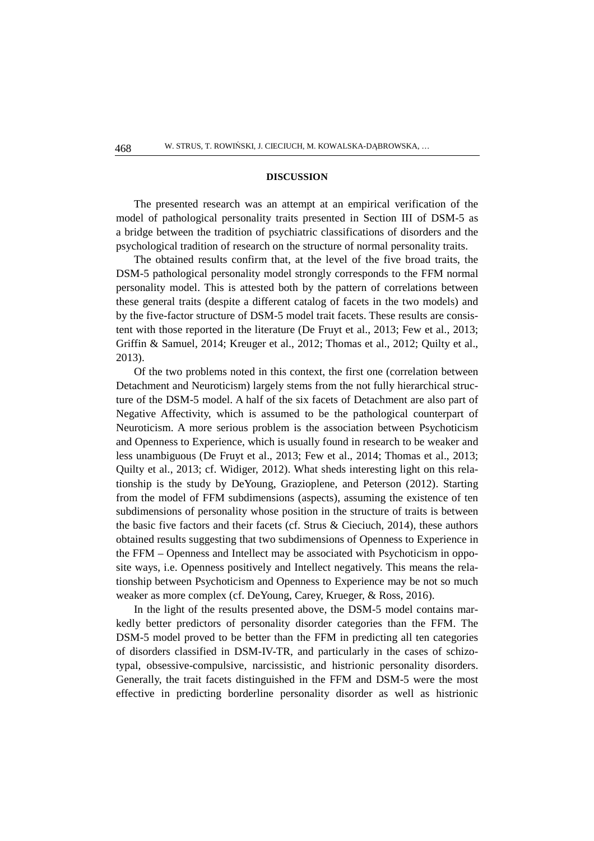#### **DISCUSSION**

The presented research was an attempt at an empirical verification of the model of pathological personality traits presented in Section III of DSM-5 as a bridge between the tradition of psychiatric classifications of disorders and the psychological tradition of research on the structure of normal personality traits.

The obtained results confirm that, at the level of the five broad traits, the DSM-5 pathological personality model strongly corresponds to the FFM normal personality model. This is attested both by the pattern of correlations between these general traits (despite a different catalog of facets in the two models) and by the five-factor structure of DSM-5 model trait facets. These results are consistent with those reported in the literature (De Fruyt et al., 2013; Few et al., 2013; Griffin & Samuel, 2014; Kreuger et al., 2012; Thomas et al., 2012; Quilty et al., 2013).

Of the two problems noted in this context, the first one (correlation between Detachment and Neuroticism) largely stems from the not fully hierarchical structure of the DSM-5 model. A half of the six facets of Detachment are also part of Negative Affectivity, which is assumed to be the pathological counterpart of Neuroticism. A more serious problem is the association between Psychoticism and Openness to Experience, which is usually found in research to be weaker and less unambiguous (De Fruyt et al., 2013; Few et al., 2014; Thomas et al., 2013; Quilty et al., 2013; cf. Widiger, 2012). What sheds interesting light on this relationship is the study by DeYoung, Grazioplene, and Peterson (2012). Starting from the model of FFM subdimensions (aspects), assuming the existence of ten subdimensions of personality whose position in the structure of traits is between the basic five factors and their facets (cf. Strus & Cieciuch, 2014), these authors obtained results suggesting that two subdimensions of Openness to Experience in the FFM – Openness and Intellect may be associated with Psychoticism in opposite ways, i.e. Openness positively and Intellect negatively. This means the relationship between Psychoticism and Openness to Experience may be not so much weaker as more complex (cf. DeYoung, Carey, Krueger, & Ross, 2016).

In the light of the results presented above, the DSM-5 model contains markedly better predictors of personality disorder categories than the FFM. The DSM-5 model proved to be better than the FFM in predicting all ten categories of disorders classified in DSM-IV-TR, and particularly in the cases of schizotypal, obsessive-compulsive, narcissistic, and histrionic personality disorders. Generally, the trait facets distinguished in the FFM and DSM-5 were the most effective in predicting borderline personality disorder as well as histrionic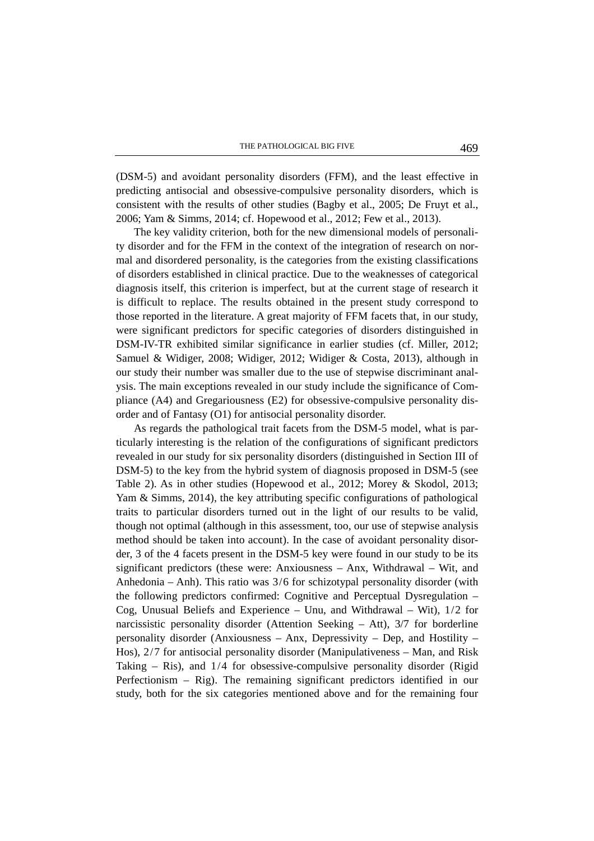(DSM-5) and avoidant personality disorders (FFM), and the least effective in predicting antisocial and obsessive-compulsive personality disorders, which is consistent with the results of other studies (Bagby et al., 2005; De Fruyt et al., 2006; Yam & Simms, 2014; cf. Hopewood et al., 2012; Few et al., 2013).

The key validity criterion, both for the new dimensional models of personality disorder and for the FFM in the context of the integration of research on normal and disordered personality, is the categories from the existing classifications of disorders established in clinical practice. Due to the weaknesses of categorical diagnosis itself, this criterion is imperfect, but at the current stage of research it is difficult to replace. The results obtained in the present study correspond to those reported in the literature. A great majority of FFM facets that, in our study, were significant predictors for specific categories of disorders distinguished in DSM-IV-TR exhibited similar significance in earlier studies (cf. Miller, 2012; Samuel & Widiger, 2008; Widiger, 2012; Widiger & Costa, 2013), although in our study their number was smaller due to the use of stepwise discriminant analysis. The main exceptions revealed in our study include the significance of Compliance (A4) and Gregariousness (E2) for obsessive-compulsive personality disorder and of Fantasy (O1) for antisocial personality disorder.

As regards the pathological trait facets from the DSM-5 model, what is particularly interesting is the relation of the configurations of significant predictors revealed in our study for six personality disorders (distinguished in Section III of DSM-5) to the key from the hybrid system of diagnosis proposed in DSM-5 (see Table 2). As in other studies (Hopewood et al., 2012; Morey & Skodol, 2013; Yam & Simms, 2014), the key attributing specific configurations of pathological traits to particular disorders turned out in the light of our results to be valid, though not optimal (although in this assessment, too, our use of stepwise analysis method should be taken into account). In the case of avoidant personality disorder, 3 of the 4 facets present in the DSM-5 key were found in our study to be its significant predictors (these were: Anxiousness – Anx, Withdrawal – Wit, and Anhedonia – Anh). This ratio was 3/6 for schizotypal personality disorder (with the following predictors confirmed: Cognitive and Perceptual Dysregulation – Cog, Unusual Beliefs and Experience – Unu, and Withdrawal – Wit), 1/2 for narcissistic personality disorder (Attention Seeking  $-$  Att), 3/7 for borderline personality disorder (Anxiousness – Anx, Depressivity – Dep, and Hostility – Hos), 2/7 for antisocial personality disorder (Manipulativeness – Man, and Risk Taking – Ris), and 1/4 for obsessive-compulsive personality disorder (Rigid Perfectionism – Rig). The remaining significant predictors identified in our study, both for the six categories mentioned above and for the remaining four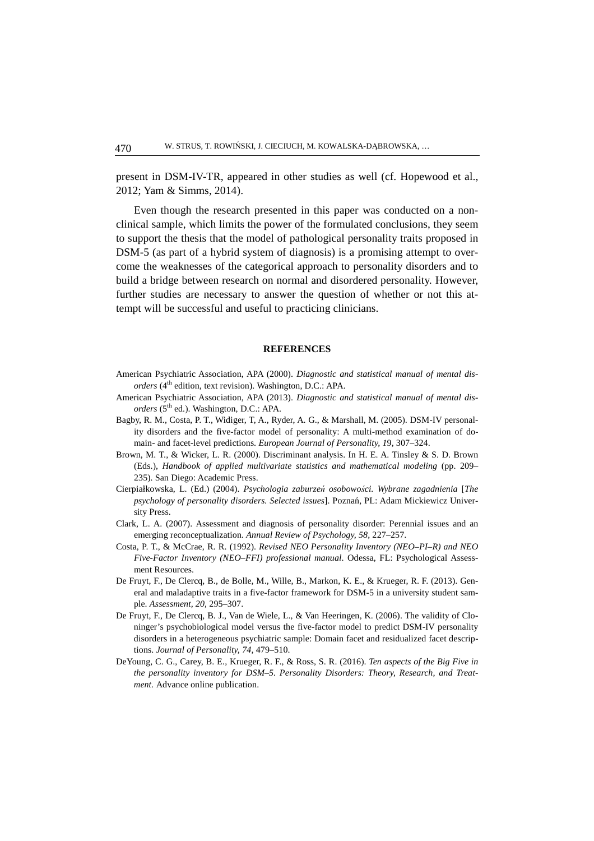present in DSM-IV-TR, appeared in other studies as well (cf. Hopewood et al., 2012; Yam & Simms, 2014).

Even though the research presented in this paper was conducted on a nonclinical sample, which limits the power of the formulated conclusions, they seem to support the thesis that the model of pathological personality traits proposed in DSM-5 (as part of a hybrid system of diagnosis) is a promising attempt to overcome the weaknesses of the categorical approach to personality disorders and to build a bridge between research on normal and disordered personality. However, further studies are necessary to answer the question of whether or not this attempt will be successful and useful to practicing clinicians.

#### **REFERENCES**

- American Psychiatric Association, APA (2000). *Diagnostic and statistical manual of mental disorders* (4<sup>th</sup> edition, text revision). Washington, D.C.: APA.
- American Psychiatric Association, APA (2013). *Diagnostic and statistical manual of mental disorders* (5<sup>th</sup> ed.). Washington, D.C.: APA.
- Bagby, R. M., Costa, P. T., Widiger, T, A., Ryder, A. G., & Marshall, M. (2005). DSM-IV personality disorders and the five-factor model of personality: A multi-method examination of domain- and facet-level predictions. *European Journal of Personality, 1*9, 307–324.
- Brown, M. T., & Wicker, L. R. (2000). Discriminant analysis. In H. E. A. Tinsley & S. D. Brown (Eds.), *Handbook of applied multivariate statistics and mathematical modeling* (pp. 209– 235). San Diego: Academic Press.
- Cierpiałkowska, L. (Ed.) (2004). *Psychologia zaburzeń osobowości. Wybrane zagadnienia* [*The psychology of personality disorders. Selected issues*]. Poznań, PL: Adam Mickiewicz University Press.
- Clark, L. A. (2007). Assessment and diagnosis of personality disorder: Perennial issues and an emerging reconceptualization. *Annual Review of Psychology, 58*, 227–257.
- Costa, P. T., & McCrae, R. R. (1992). *Revised NEO Personality Inventory (NEO–PI–R) and NEO Five-Factor Inventory (NEO–FFI) professional manual*. Odessa, FL: Psychological Assessment Resources.
- De Fruyt, F., De Clercq, B., de Bolle, M., Wille, B., Markon, K. E., & Krueger, R. F. (2013). General and maladaptive traits in a five-factor framework for DSM-5 in a university student sample. *Assessment, 20*, 295–307.
- De Fruyt, F., De Clercq, B. J., Van de Wiele, L., & Van Heeringen, K. (2006). The validity of Cloninger's psychobiological model versus the five-factor model to predict DSM-IV personality disorders in a heterogeneous psychiatric sample: Domain facet and residualized facet descriptions. *Journal of Personality, 74*, 479–510.
- DeYoung, C. G., Carey, B. E., Krueger, R. F., & Ross, S. R. (2016). *Ten aspects of the Big Five in the personality inventory for DSM–5. Personality Disorders: Theory, Research, and Treatment.* Advance online publication.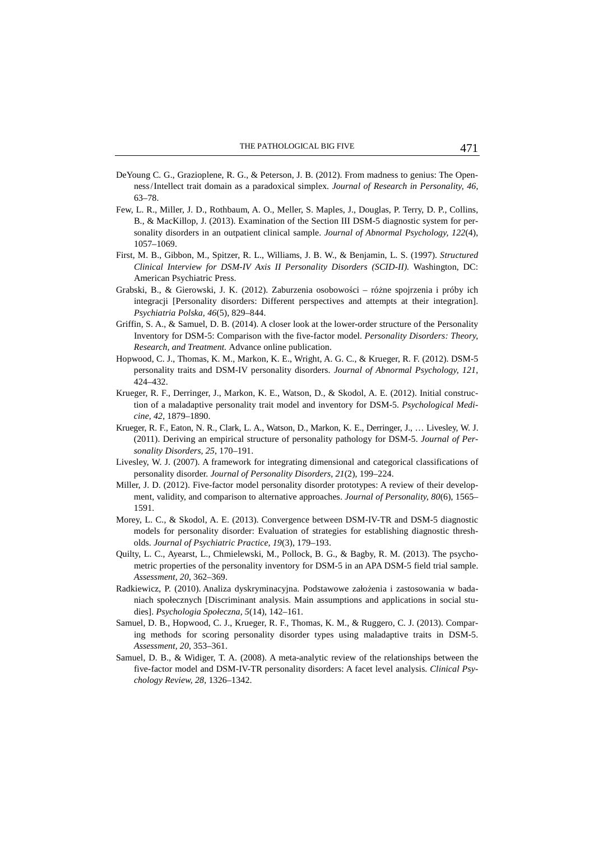- DeYoung C. G., Grazioplene, R. G., & Peterson, J. B. (2012). From madness to genius: The Openness/Intellect trait domain as a paradoxical simplex. *Journal of Research in Personality, 46*, 63–78.
- Few, L. R., Miller, J. D., Rothbaum, A. O., Meller, S. Maples, J., Douglas, P. Terry, D. P., Collins, B., & MacKillop, J. (2013). Examination of the Section III DSM-5 diagnostic system for personality disorders in an outpatient clinical sample. *Journal of Abnormal Psychology, 122*(4), 1057–1069.
- First, M. B., Gibbon, M., Spitzer, R. L., Williams, J. B. W., & Benjamin, L. S. (1997). *Structured Clinical Interview for DSM-IV Axis II Personality Disorders (SCID-II).* Washington, DC: American Psychiatric Press.
- Grabski, B., & Gierowski, J. K. (2012). Zaburzenia osobowości różne spojrzenia i próby ich integracji [Personality disorders: Different perspectives and attempts at their integration]. *Psychiatria Polska, 46*(5), 829–844.
- Griffin, S. A., & Samuel, D. B. (2014). A closer look at the lower-order structure of the Personality Inventory for DSM-5: Comparison with the five-factor model. *Personality Disorders: Theory, Research, and Treatment.* Advance online publication.
- Hopwood, C. J., Thomas, K. M., Markon, K. E., Wright, A. G. C., & Krueger, R. F. (2012). DSM-5 personality traits and DSM-IV personality disorders. *Journal of Abnormal Psychology, 121*, 424–432.
- Krueger, R. F., Derringer, J., Markon, K. E., Watson, D., & Skodol, A. E. (2012). Initial construction of a maladaptive personality trait model and inventory for DSM-5. *Psychological Medicine, 42*, 1879–1890.
- Krueger, R. F., Eaton, N. R., Clark, L. A., Watson, D., Markon, K. E., Derringer, J., … Livesley, W. J. (2011). Deriving an empirical structure of personality pathology for DSM-5. *Journal of Personality Disorders, 25*, 170–191.
- Livesley, W. J. (2007). A framework for integrating dimensional and categorical classifications of personality disorder. *Journal of Personality Disorders, 21*(2), 199–224.
- Miller, J. D. (2012). Five-factor model personality disorder prototypes: A review of their development, validity, and comparison to alternative approaches. *Journal of Personality, 80*(6), 1565– 1591.
- Morey, L. C., & Skodol, A. E. (2013). Convergence between DSM-IV-TR and DSM-5 diagnostic models for personality disorder: Evaluation of strategies for establishing diagnostic thresholds. *Journal of Psychiatric Practice, 19*(3), 179–193.
- Quilty, L. C., Ayearst, L., Chmielewski, M., Pollock, B. G., & Bagby, R. M. (2013). The psychometric properties of the personality inventory for DSM-5 in an APA DSM-5 field trial sample. *Assessment, 20*, 362–369.
- Radkiewicz, P. (2010). Analiza dyskryminacyjna. Podstawowe założenia i zastosowania w badaniach społecznych [Discriminant analysis. Main assumptions and applications in social studies]. *Psychologia Społeczna, 5*(14), 142–161.
- Samuel, D. B., Hopwood, C. J., Krueger, R. F., Thomas, K. M., & Ruggero, C. J. (2013). Comparing methods for scoring personality disorder types using maladaptive traits in DSM-5. *Assessment, 20*, 353–361.
- Samuel, D. B., & Widiger, T. A. (2008). A meta-analytic review of the relationships between the five-factor model and DSM-IV-TR personality disorders: A facet level analysis. *Clinical Psychology Review, 28*, 1326–1342.